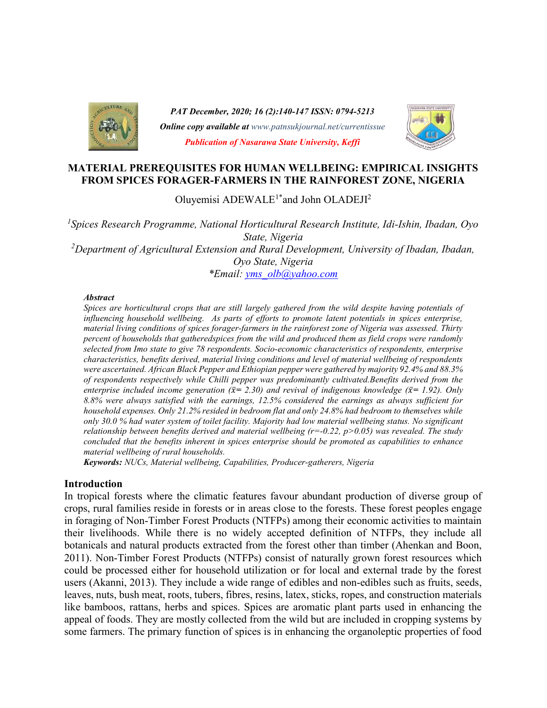

PAT December, 2020; 16 (2):140-147 ISSN: 0794-5213 **Online copy available at** www.patnsukjournal.net/currentissue Publication of Nasarawa State University, Keffi



### MATERIAL PREREQUISITES FOR HUMAN WELLBEING: EMPIRICAL INSIGHTS FROM SPICES FORAGER-FARMERS IN THE RAINFOREST ZONE, NIGERIA

Oluyemisi ADEWALE<sup>1\*</sup>and John OLADEJI<sup>2</sup>

<sup>1</sup>Spices Research Programme, National Horticultural Research Institute, Idi-Ishin, Ibadan, Oyo State, Nigeria <sup>2</sup>Department of Agricultural Extension and Rural Development, University of Ibadan, Ibadan, Oyo State, Nigeria \*Email: yms\_olb@yahoo.com

#### **Abstract**

Spices are horticultural crops that are still largely gathered from the wild despite having potentials of influencing household wellbeing. As parts of efforts to promote latent potentials in spices enterprise, material living conditions of spices forager-farmers in the rainforest zone of Nigeria was assessed. Thirty percent of households that gatheredspices from the wild and produced them as field crops were randomly selected from Imo state to give 78 respondents. Socio-economic characteristics of respondents, enterprise characteristics, benefits derived, material living conditions and level of material wellbeing of respondents were ascertained. African Black Pepper and Ethiopian pepper were gathered by majority 92.4% and 88.3% of respondents respectively while Chilli pepper was predominantly cultivated.Benefits derived from the enterprise included income generation ( $\bar{x}$  = 2.30) and revival of indigenous knowledge ( $\bar{x}$  = 1.92). Only 8.8% were always satisfied with the earnings, 12.5% considered the earnings as always sufficient for household expenses. Only 21.2% resided in bedroom flat and only 24.8% had bedroom to themselves while only 30.0 % had water system of toilet facility. Majority had low material wellbeing status. No significant relationship between benefits derived and material wellbeing  $(r=-0.22, p>0.05)$  was revealed. The study concluded that the benefits inherent in spices enterprise should be promoted as capabilities to enhance material wellbeing of rural households.

Keywords: NUCs, Material wellbeing, Capabilities, Producer-gatherers, Nigeria

#### Introduction

In tropical forests where the climatic features favour abundant production of diverse group of crops, rural families reside in forests or in areas close to the forests. These forest peoples engage in foraging of Non-Timber Forest Products (NTFPs) among their economic activities to maintain their livelihoods. While there is no widely accepted definition of NTFPs, they include all botanicals and natural products extracted from the forest other than timber (Ahenkan and Boon, 2011). Non-Timber Forest Products (NTFPs) consist of naturally grown forest resources which could be processed either for household utilization or for local and external trade by the forest users (Akanni, 2013). They include a wide range of edibles and non-edibles such as fruits, seeds, leaves, nuts, bush meat, roots, tubers, fibres, resins, latex, sticks, ropes, and construction materials like bamboos, rattans, herbs and spices. Spices are aromatic plant parts used in enhancing the appeal of foods. They are mostly collected from the wild but are included in cropping systems by some farmers. The primary function of spices is in enhancing the organoleptic properties of food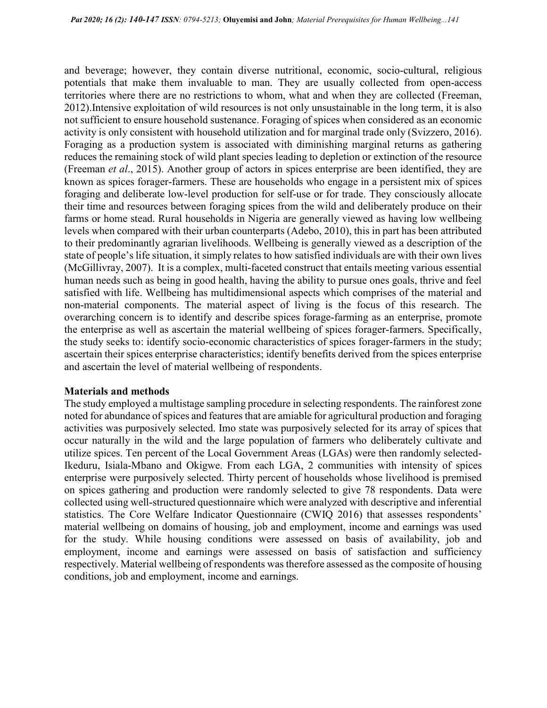and beverage; however, they contain diverse nutritional, economic, socio-cultural, religious potentials that make them invaluable to man. They are usually collected from open-access territories where there are no restrictions to whom, what and when they are collected (Freeman, 2012).Intensive exploitation of wild resources is not only unsustainable in the long term, it is also not sufficient to ensure household sustenance. Foraging of spices when considered as an economic activity is only consistent with household utilization and for marginal trade only (Svizzero, 2016). Foraging as a production system is associated with diminishing marginal returns as gathering reduces the remaining stock of wild plant species leading to depletion or extinction of the resource (Freeman et al., 2015). Another group of actors in spices enterprise are been identified, they are known as spices forager-farmers. These are households who engage in a persistent mix of spices foraging and deliberate low-level production for self-use or for trade. They consciously allocate their time and resources between foraging spices from the wild and deliberately produce on their farms or home stead. Rural households in Nigeria are generally viewed as having low wellbeing levels when compared with their urban counterparts (Adebo, 2010), this in part has been attributed to their predominantly agrarian livelihoods. Wellbeing is generally viewed as a description of the state of people's life situation, it simply relates to how satisfied individuals are with their own lives (McGillivray, 2007). It is a complex, multi-faceted construct that entails meeting various essential human needs such as being in good health, having the ability to pursue ones goals, thrive and feel satisfied with life. Wellbeing has multidimensional aspects which comprises of the material and non-material components. The material aspect of living is the focus of this research. The overarching concern is to identify and describe spices forage-farming as an enterprise, promote the enterprise as well as ascertain the material wellbeing of spices forager-farmers. Specifically, the study seeks to: identify socio-economic characteristics of spices forager-farmers in the study; ascertain their spices enterprise characteristics; identify benefits derived from the spices enterprise and ascertain the level of material wellbeing of respondents.

#### Materials and methods

The study employed a multistage sampling procedure in selecting respondents. The rainforest zone noted for abundance of spices and features that are amiable for agricultural production and foraging activities was purposively selected. Imo state was purposively selected for its array of spices that occur naturally in the wild and the large population of farmers who deliberately cultivate and utilize spices. Ten percent of the Local Government Areas (LGAs) were then randomly selected-Ikeduru, Isiala-Mbano and Okigwe. From each LGA, 2 communities with intensity of spices enterprise were purposively selected. Thirty percent of households whose livelihood is premised on spices gathering and production were randomly selected to give 78 respondents. Data were collected using well-structured questionnaire which were analyzed with descriptive and inferential statistics. The Core Welfare Indicator Questionnaire (CWIQ 2016) that assesses respondents' material wellbeing on domains of housing, job and employment, income and earnings was used for the study. While housing conditions were assessed on basis of availability, job and employment, income and earnings were assessed on basis of satisfaction and sufficiency respectively. Material wellbeing of respondents was therefore assessed as the composite of housing conditions, job and employment, income and earnings.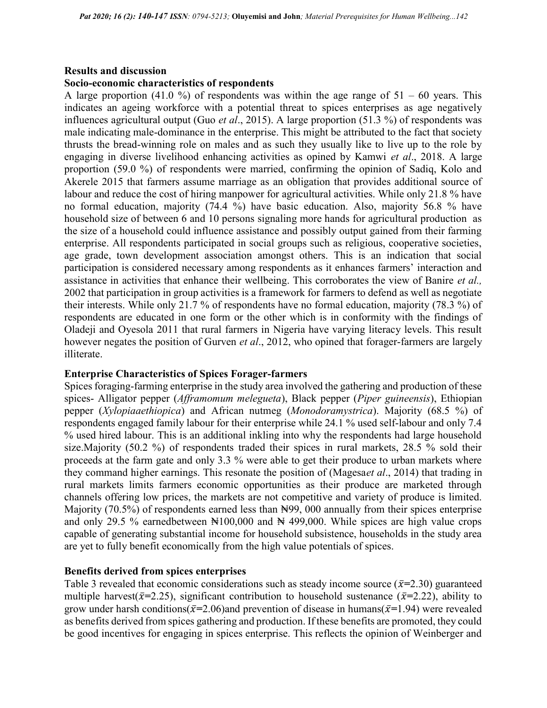## Results and discussion

#### Socio-economic characteristics of respondents

A large proportion (41.0 %) of respondents was within the age range of  $51 - 60$  years. This indicates an ageing workforce with a potential threat to spices enterprises as age negatively influences agricultural output (Guo *et al.*, 2015). A large proportion (51.3 %) of respondents was male indicating male-dominance in the enterprise. This might be attributed to the fact that society thrusts the bread-winning role on males and as such they usually like to live up to the role by engaging in diverse livelihood enhancing activities as opined by Kamwi et al., 2018. A large proportion (59.0 %) of respondents were married, confirming the opinion of Sadiq, Kolo and Akerele 2015 that farmers assume marriage as an obligation that provides additional source of labour and reduce the cost of hiring manpower for agricultural activities. While only 21.8 % have no formal education, majority (74.4 %) have basic education. Also, majority 56.8 % have household size of between 6 and 10 persons signaling more hands for agricultural production as the size of a household could influence assistance and possibly output gained from their farming enterprise. All respondents participated in social groups such as religious, cooperative societies, age grade, town development association amongst others. This is an indication that social participation is considered necessary among respondents as it enhances farmers' interaction and assistance in activities that enhance their wellbeing. This corroborates the view of Banire et al., 2002 that participation in group activities is a framework for farmers to defend as well as negotiate their interests. While only 21.7 % of respondents have no formal education, majority (78.3 %) of respondents are educated in one form or the other which is in conformity with the findings of Oladeji and Oyesola 2011 that rural farmers in Nigeria have varying literacy levels. This result however negates the position of Gurven *et al.*, 2012, who opined that forager-farmers are largely illiterate.

### Enterprise Characteristics of Spices Forager-farmers

Spices foraging-farming enterprise in the study area involved the gathering and production of these spices- Alligator pepper (Afframomum melegueta), Black pepper (Piper guineensis), Ethiopian pepper (Xylopiaaethiopica) and African nutmeg (Monodoramystrica). Majority (68.5 %) of respondents engaged family labour for their enterprise while 24.1 % used self-labour and only 7.4 % used hired labour. This is an additional inkling into why the respondents had large household size.Majority (50.2 %) of respondents traded their spices in rural markets, 28.5 % sold their proceeds at the farm gate and only 3.3 % were able to get their produce to urban markets where they command higher earnings. This resonate the position of (Magesaet al., 2014) that trading in rural markets limits farmers economic opportunities as their produce are marketed through channels offering low prices, the markets are not competitive and variety of produce is limited. Majority (70.5%) of respondents earned less than  $\mathbb{N}99$ , 000 annually from their spices enterprise and only 29.5 % earnedbetween  $\text{H}100,000$  and  $\text{H}499,000$ . While spices are high value crops capable of generating substantial income for household subsistence, households in the study area are yet to fully benefit economically from the high value potentials of spices.

### Benefits derived from spices enterprises

Table 3 revealed that economic considerations such as steady income source ( $\bar{x}=2.30$ ) guaranteed multiple harvest( $\bar{x}$ =2.25), significant contribution to household sustenance ( $\bar{x}$ =2.22), ability to grow under harsh conditions( $\bar{x}=2.06$ )and prevention of disease in humans( $\bar{x}=1.94$ ) were revealed as benefits derived from spices gathering and production. If these benefits are promoted, they could be good incentives for engaging in spices enterprise. This reflects the opinion of Weinberger and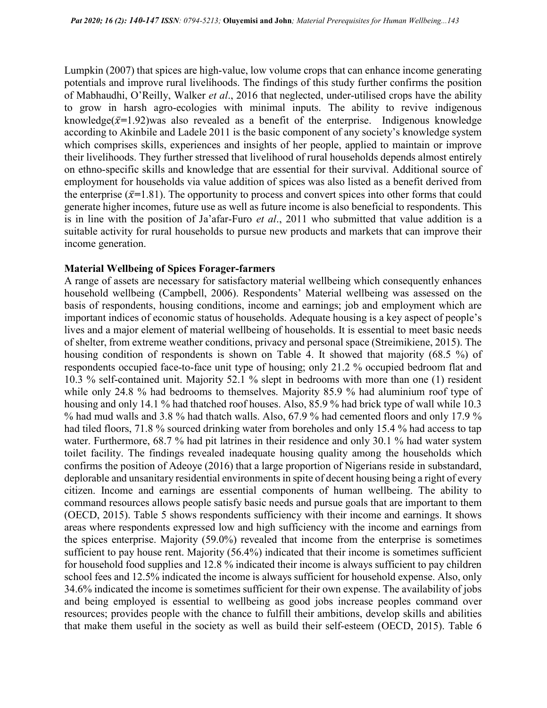Lumpkin (2007) that spices are high-value, low volume crops that can enhance income generating potentials and improve rural livelihoods. The findings of this study further confirms the position of Mabhaudhi, O'Reilly, Walker et al., 2016 that neglected, under-utilised crops have the ability to grow in harsh agro-ecologies with minimal inputs. The ability to revive indigenous knowledge( $\bar{x}$ =1.92)was also revealed as a benefit of the enterprise. Indigenous knowledge according to Akinbile and Ladele 2011 is the basic component of any society's knowledge system which comprises skills, experiences and insights of her people, applied to maintain or improve their livelihoods. They further stressed that livelihood of rural households depends almost entirely on ethno-specific skills and knowledge that are essential for their survival. Additional source of employment for households via value addition of spices was also listed as a benefit derived from the enterprise  $(\bar{x}=1.81)$ . The opportunity to process and convert spices into other forms that could generate higher incomes, future use as well as future income is also beneficial to respondents. This is in line with the position of Ja'afar-Furo et al., 2011 who submitted that value addition is a suitable activity for rural households to pursue new products and markets that can improve their income generation.

#### Material Wellbeing of Spices Forager-farmers

A range of assets are necessary for satisfactory material wellbeing which consequently enhances household wellbeing (Campbell, 2006). Respondents' Material wellbeing was assessed on the basis of respondents, housing conditions, income and earnings; job and employment which are important indices of economic status of households. Adequate housing is a key aspect of people's lives and a major element of material wellbeing of households. It is essential to meet basic needs of shelter, from extreme weather conditions, privacy and personal space (Streimikiene, 2015). The housing condition of respondents is shown on Table 4. It showed that majority (68.5 %) of respondents occupied face-to-face unit type of housing; only 21.2 % occupied bedroom flat and 10.3 % self-contained unit. Majority 52.1 % slept in bedrooms with more than one (1) resident while only 24.8 % had bedrooms to themselves. Majority 85.9 % had aluminium roof type of housing and only 14.1 % had thatched roof houses. Also, 85.9 % had brick type of wall while 10.3 % had mud walls and 3.8 % had thatch walls. Also, 67.9 % had cemented floors and only 17.9 % had tiled floors, 71.8 % sourced drinking water from boreholes and only 15.4 % had access to tap water. Furthermore, 68.7 % had pit latrines in their residence and only 30.1 % had water system toilet facility. The findings revealed inadequate housing quality among the households which confirms the position of Adeoye (2016) that a large proportion of Nigerians reside in substandard, deplorable and unsanitary residential environments in spite of decent housing being a right of every citizen. Income and earnings are essential components of human wellbeing. The ability to command resources allows people satisfy basic needs and pursue goals that are important to them (OECD, 2015). Table 5 shows respondents sufficiency with their income and earnings. It shows areas where respondents expressed low and high sufficiency with the income and earnings from the spices enterprise. Majority (59.0%) revealed that income from the enterprise is sometimes sufficient to pay house rent. Majority (56.4%) indicated that their income is sometimes sufficient for household food supplies and 12.8 % indicated their income is always sufficient to pay children school fees and 12.5% indicated the income is always sufficient for household expense. Also, only 34.6% indicated the income is sometimes sufficient for their own expense. The availability of jobs and being employed is essential to wellbeing as good jobs increase peoples command over resources; provides people with the chance to fulfill their ambitions, develop skills and abilities that make them useful in the society as well as build their self-esteem (OECD, 2015). Table 6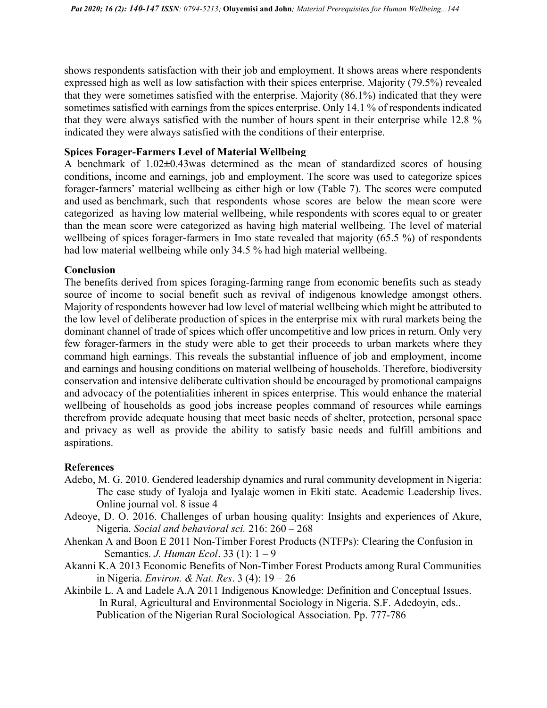shows respondents satisfaction with their job and employment. It shows areas where respondents expressed high as well as low satisfaction with their spices enterprise. Majority (79.5%) revealed that they were sometimes satisfied with the enterprise. Majority (86.1%) indicated that they were sometimes satisfied with earnings from the spices enterprise. Only 14.1 % of respondents indicated that they were always satisfied with the number of hours spent in their enterprise while 12.8 % indicated they were always satisfied with the conditions of their enterprise.

### Spices Forager-Farmers Level of Material Wellbeing

A benchmark of 1.02±0.43was determined as the mean of standardized scores of housing conditions, income and earnings, job and employment. The score was used to categorize spices forager-farmers' material wellbeing as either high or low (Table 7). The scores were computed and used as benchmark, such that respondents whose scores are below the mean score were categorized as having low material wellbeing, while respondents with scores equal to or greater than the mean score were categorized as having high material wellbeing. The level of material wellbeing of spices forager-farmers in Imo state revealed that majority (65.5 %) of respondents had low material wellbeing while only 34.5 % had high material wellbeing.

#### Conclusion

The benefits derived from spices foraging-farming range from economic benefits such as steady source of income to social benefit such as revival of indigenous knowledge amongst others. Majority of respondents however had low level of material wellbeing which might be attributed to the low level of deliberate production of spices in the enterprise mix with rural markets being the dominant channel of trade of spices which offer uncompetitive and low prices in return. Only very few forager-farmers in the study were able to get their proceeds to urban markets where they command high earnings. This reveals the substantial influence of job and employment, income and earnings and housing conditions on material wellbeing of households. Therefore, biodiversity conservation and intensive deliberate cultivation should be encouraged by promotional campaigns and advocacy of the potentialities inherent in spices enterprise. This would enhance the material wellbeing of households as good jobs increase peoples command of resources while earnings therefrom provide adequate housing that meet basic needs of shelter, protection, personal space and privacy as well as provide the ability to satisfy basic needs and fulfill ambitions and aspirations.

### References

- Adebo, M. G. 2010. Gendered leadership dynamics and rural community development in Nigeria: The case study of Iyaloja and Iyalaje women in Ekiti state. Academic Leadership lives. Online journal vol. 8 issue 4
- Adeoye, D. O. 2016. Challenges of urban housing quality: Insights and experiences of Akure, Nigeria. Social and behavioral sci. 216: 260 – 268
- Ahenkan A and Boon E 2011 Non-Timber Forest Products (NTFPs): Clearing the Confusion in Semantics. J. Human Ecol. 33 (1): 1 – 9
- Akanni K.A 2013 Economic Benefits of Non-Timber Forest Products among Rural Communities in Nigeria. Environ. & Nat. Res. 3 (4): 19 – 26
- Akinbile L. A and Ladele A.A 2011 Indigenous Knowledge: Definition and Conceptual Issues. In Rural, Agricultural and Environmental Sociology in Nigeria. S.F. Adedoyin, eds.. Publication of the Nigerian Rural Sociological Association. Pp. 777-786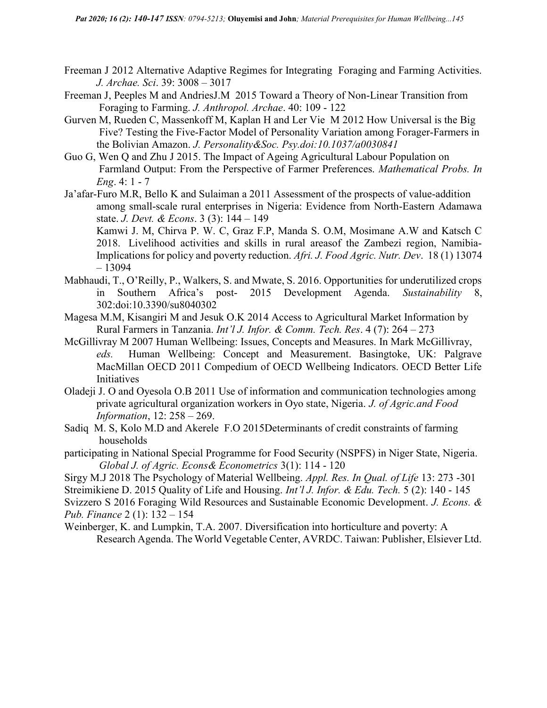- Freeman J 2012 Alternative Adaptive Regimes for Integrating Foraging and Farming Activities. J. Archae. Sci. 39: 3008 – 3017
- Freeman J, Peeples M and AndriesJ.M 2015 Toward a Theory of Non-Linear Transition from Foraging to Farming. J. Anthropol. Archae. 40: 109 - 122
- Gurven M, Rueden C, Massenkoff M, Kaplan H and Ler Vie M 2012 How Universal is the Big Five? Testing the Five-Factor Model of Personality Variation among Forager-Farmers in the Bolivian Amazon. J. Personality&Soc. Psy.doi:10.1037/a0030841
- Guo G, Wen Q and Zhu J 2015. The Impact of Ageing Agricultural Labour Population on Farmland Output: From the Perspective of Farmer Preferences. Mathematical Probs. In Eng. 4:  $1 - 7$
- Ja'afar-Furo M.R, Bello K and Sulaiman a 2011 Assessment of the prospects of value-addition among small-scale rural enterprises in Nigeria: Evidence from North-Eastern Adamawa state. *J. Devt. & Econs.* 3 (3): 144 – 149

Kamwi J. M, Chirva P. W. C, Graz F.P, Manda S. O.M, Mosimane A.W and Katsch C 2018. Livelihood activities and skills in rural areasof the Zambezi region, Namibia-Implications for policy and poverty reduction. Afri. J. Food Agric. Nutr. Dev. 18 (1) 13074 – 13094

- Mabhaudi, T., O'Reilly, P., Walkers, S. and Mwate, S. 2016. Opportunities for underutilized crops in Southern Africa's post- 2015 Development Agenda. Sustainability 8, 302:doi:10.3390/su8040302
- Magesa M.M, Kisangiri M and Jesuk O.K 2014 Access to Agricultural Market Information by Rural Farmers in Tanzania. Int'l J. Infor. & Comm. Tech. Res. 4 (7): 264 – 273
- McGillivray M 2007 Human Wellbeing: Issues, Concepts and Measures. In Mark McGillivray, eds. Human Wellbeing: Concept and Measurement. Basingtoke, UK: Palgrave MacMillan OECD 2011 Compedium of OECD Wellbeing Indicators. OECD Better Life Initiatives
- Oladeji J. O and Oyesola O.B 2011 Use of information and communication technologies among private agricultural organization workers in Oyo state, Nigeria. J. of Agric.and Food Information, 12: 258 – 269.
- Sadiq M. S, Kolo M.D and Akerele F.O 2015Determinants of credit constraints of farming households
- participating in National Special Programme for Food Security (NSPFS) in Niger State, Nigeria. Global J. of Agric. Econs& Econometrics 3(1): 114 - 120
- Sirgy M.J 2018 The Psychology of Material Wellbeing. Appl. Res. In Qual. of Life 13: 273 -301 Streimikiene D. 2015 Quality of Life and Housing. Int'l J. Infor. & Edu. Tech. 5 (2): 140 - 145 Svizzero S 2016 Foraging Wild Resources and Sustainable Economic Development. J. Econs. &

Pub. Finance 2 (1): 132 – 154

Weinberger, K. and Lumpkin, T.A. 2007. Diversification into horticulture and poverty: A Research Agenda. The World Vegetable Center, AVRDC. Taiwan: Publisher, Elsiever Ltd.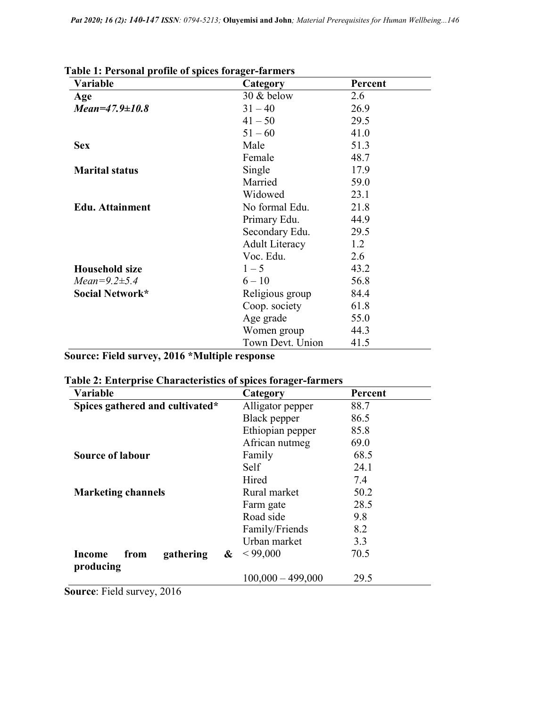| Variable               | Category              | Percent |
|------------------------|-----------------------|---------|
| Age                    | 30 & below            | 2.6     |
| $Mean=47.9\pm10.8$     | $31 - 40$             | 26.9    |
|                        | $41 - 50$             | 29.5    |
|                        | $51 - 60$             | 41.0    |
| <b>Sex</b>             | Male                  | 51.3    |
|                        | Female                | 48.7    |
| <b>Marital status</b>  | Single                | 17.9    |
|                        | Married               | 59.0    |
|                        | Widowed               | 23.1    |
| <b>Edu.</b> Attainment | No formal Edu.        | 21.8    |
|                        | Primary Edu.          | 44.9    |
|                        | Secondary Edu.        | 29.5    |
|                        | <b>Adult Literacy</b> | 1.2     |
|                        | Voc. Edu.             | 2.6     |
| <b>Household size</b>  | $1 - 5$               | 43.2    |
| $Mean = 9.2 \pm 5.4$   | $6 - 10$              | 56.8    |
| Social Network*        | Religious group       | 84.4    |
|                        | Coop. society         | 61.8    |
|                        | Age grade             | 55.0    |
|                        | Women group           | 44.3    |
|                        | Town Devt. Union      | 41.5    |

| Table 1: Personal profile of spices forager-farmers |  |  |
|-----------------------------------------------------|--|--|
|                                                     |  |  |

# Source: Field survey, 2016 \*Multiple response

| <b>Variable</b>                               | Category            | Percent |
|-----------------------------------------------|---------------------|---------|
| Spices gathered and cultivated*               | Alligator pepper    | 88.7    |
|                                               | Black pepper        | 86.5    |
|                                               | Ethiopian pepper    | 85.8    |
|                                               | African nutmeg      | 69.0    |
| <b>Source of labour</b>                       | Family              | 68.5    |
|                                               | Self                | 24.1    |
|                                               | Hired               | 7.4     |
| <b>Marketing channels</b>                     | Rural market        | 50.2    |
|                                               | Farm gate           | 28.5    |
|                                               | Road side           | 9.8     |
|                                               | Family/Friends      | 8.2     |
|                                               | Urban market        | 3.3     |
| gathering<br>Income<br>&<br>from<br>producing | < 99,000            | 70.5    |
|                                               | $100,000 - 499,000$ | 29.5    |

|  |  |  | Table 2: Enterprise Characteristics of spices forager-farmers |  |  |  |
|--|--|--|---------------------------------------------------------------|--|--|--|
|--|--|--|---------------------------------------------------------------|--|--|--|

Source: Field survey, 2016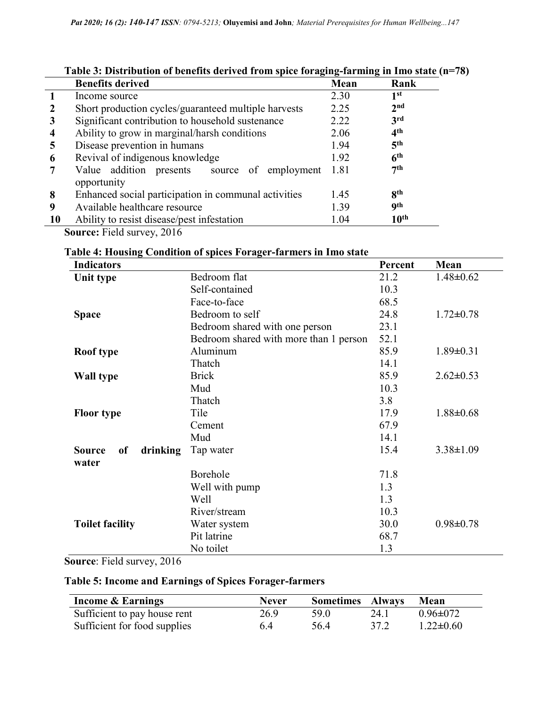|           | Table 9. Distribution of benefits uctived from spice foraging-rarming in thio state (in |      |                  |  |  |  |
|-----------|-----------------------------------------------------------------------------------------|------|------------------|--|--|--|
|           | <b>Benefits derived</b>                                                                 | Mean | Rank             |  |  |  |
|           | Income source                                                                           | 2.30 | 1 <sup>st</sup>  |  |  |  |
|           | Short production cycles/guaranteed multiple harvests                                    | 2.25 | 2 <sub>nd</sub>  |  |  |  |
| 3         | Significant contribution to household sustenance                                        | 2.22 | 3rd              |  |  |  |
| 4         | Ability to grow in marginal/harsh conditions                                            | 2.06 | 4 <sup>th</sup>  |  |  |  |
| 5         | Disease prevention in humans                                                            | 1.94 | 5 <sup>th</sup>  |  |  |  |
| 6         | Revival of indigenous knowledge                                                         | 1.92 | 6 <sup>th</sup>  |  |  |  |
|           | Value addition presents source of<br>employment                                         | 1.81 | 7th              |  |  |  |
|           | opportunity                                                                             |      |                  |  |  |  |
| 8         | Enhanced social participation in communal activities                                    | 1.45 | 8 <sup>th</sup>  |  |  |  |
| 9         | Available healthcare resource                                                           | 1.39 | <b>9th</b>       |  |  |  |
| <b>10</b> | Ability to resist disease/pest infestation                                              | 1.04 | $10^{\text{th}}$ |  |  |  |
| $\sim$    | $\bullet \bullet \bullet \bullet$                                                       |      |                  |  |  |  |

## Table 3: Distribution of benefits derived from spice foraging-farming in Imo state (n=78)

Source: Field survey, 2016

| <b>Indicators</b>                        |                                        | Percent | Mean            |
|------------------------------------------|----------------------------------------|---------|-----------------|
| Unit type                                | Bedroom flat                           | 21.2    | $1.48 \pm 0.62$ |
|                                          | Self-contained                         | 10.3    |                 |
|                                          | Face-to-face                           | 68.5    |                 |
| <b>Space</b>                             | Bedroom to self                        | 24.8    | $1.72 \pm 0.78$ |
|                                          | Bedroom shared with one person         | 23.1    |                 |
|                                          | Bedroom shared with more than 1 person | 52.1    |                 |
| Roof type                                | Aluminum                               | 85.9    | $1.89 \pm 0.31$ |
|                                          | Thatch                                 | 14.1    |                 |
| <b>Wall type</b>                         | <b>Brick</b>                           | 85.9    | $2.62 \pm 0.53$ |
|                                          | Mud                                    | 10.3    |                 |
|                                          | Thatch                                 | 3.8     |                 |
| <b>Floor type</b>                        | Tile                                   | 17.9    | $1.88 \pm 0.68$ |
|                                          | Cement                                 | 67.9    |                 |
|                                          | Mud                                    | 14.1    |                 |
| <b>Source</b><br>of<br>drinking<br>water | Tap water                              | 15.4    | $3.38 \pm 1.09$ |
|                                          | Borehole                               | 71.8    |                 |
|                                          | Well with pump                         | 1.3     |                 |
|                                          | Well                                   | 1.3     |                 |
|                                          | River/stream                           | 10.3    |                 |
| <b>Toilet facility</b>                   | Water system                           | 30.0    | $0.98 \pm 0.78$ |
|                                          | Pit latrine                            | 68.7    |                 |
|                                          | No toilet                              | 1.3     |                 |

Table 4: Housing Condition of spices Forager-farmers in Imo state

Source: Field survey, 2016

### Table 5: Income and Earnings of Spices Forager-farmers

| <b>Income &amp; Earnings</b> | <b>Never</b> | <b>Sometimes Always</b> |      | Mean            |
|------------------------------|--------------|-------------------------|------|-----------------|
| Sufficient to pay house rent | 26.9         | 59.0                    | 24.1 | $0.96 \pm 0.72$ |
| Sufficient for food supplies | 6.4          | 56.4                    | 37.2 | $1.22 \pm 0.60$ |